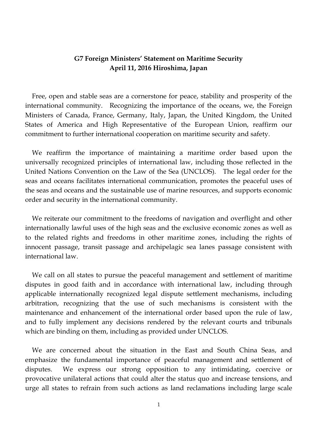## **G7 Foreign Ministers' Statement on Maritime Security April 11, 2016 Hiroshima, Japan**

 Free, open and stable seas are a cornerstone for peace, stability and prosperity of the international community. Recognizing the importance of the oceans, we, the Foreign Ministers of Canada, France, Germany, Italy, Japan, the United Kingdom, the United States of America and High Representative of the European Union, reaffirm our commitment to further international cooperation on maritime security and safety.

We reaffirm the importance of maintaining a maritime order based upon the universally recognized principles of international law, including those reflected in the United Nations Convention on the Law of the Sea (UNCLOS). The legal order for the seas and oceans facilitates international communication, promotes the peaceful uses of the seas and oceans and the sustainable use of marine resources, and supports economic order and security in the international community.

We reiterate our commitment to the freedoms of navigation and overflight and other internationally lawful uses of the high seas and the exclusive economic zones as well as to the related rights and freedoms in other maritime zones, including the rights of innocent passage, transit passage and archipelagic sea lanes passage consistent with international law.

 We call on all states to pursue the peaceful management and settlement of maritime disputes in good faith and in accordance with international law, including through applicable internationally recognized legal dispute settlement mechanisms, including arbitration, recognizing that the use of such mechanisms is consistent with the maintenance and enhancement of the international order based upon the rule of law, and to fully implement any decisions rendered by the relevant courts and tribunals which are binding on them, including as provided under UNCLOS.

We are concerned about the situation in the East and South China Seas, and emphasize the fundamental importance of peaceful management and settlement of disputes. We express our strong opposition to any intimidating, coercive or provocative unilateral actions that could alter the status quo and increase tensions, and urge all states to refrain from such actions as land reclamations including large scale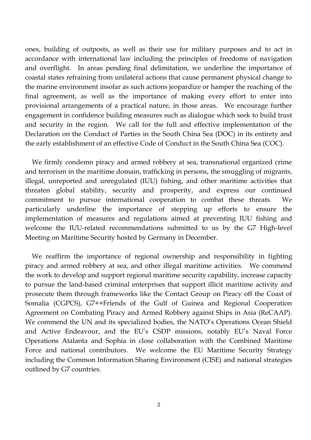ones, building of outposts, as well as their use for military purposes and to act in accordance with international law including the principles of freedoms of navigation and overflight. In areas pending final delimitation, we underline the importance of coastal states refraining from unilateral actions that cause permanent physical change to the marine environment insofar as such actions jeopardize or hamper the reaching of the final agreement, as well as the importance of making every effort to enter into provisional arrangements of a practical nature, in those areas. We encourage further engagement in confidence building measures such as dialogue which seek to build trust and security in the region. We call for the full and effective implementation of the Declaration on the Conduct of Parties in the South China Sea (DOC) in its entirety and the early establishment of an effective Code of Conduct in the South China Sea (COC).

We firmly condemn piracy and armed robbery at sea, transnational organized crime and terrorism in the maritime domain, trafficking in persons, the smuggling of migrants, illegal, unreported and unregulated (IUU) fishing, and other maritime activities that threaten global stability, security and prosperity, and express our continued commitment to pursue international cooperation to combat these threats. We particularly underline the importance of stepping up efforts to ensure the implementation of measures and regulations aimed at preventing IUU fishing and welcome the IUU-related recommendations submitted to us by the G7 High-level Meeting on Maritime Security hosted by Germany in December.

We reaffirm the importance of regional ownership and responsibility in fighting piracy and armed robbery at sea, and other illegal maritime activities. We commend the work to develop and support regional maritime security capability, increase capacity to pursue the land-based criminal enterprises that support illicit maritime activity and prosecute them through frameworks like the Contact Group on Piracy off the Coast of Somalia (CGPCS), G7++Friends of the Gulf of Guinea and Regional Cooperation Agreement on Combating Piracy and Armed Robbery against Ships in Asia (ReCAAP). We commend the UN and its specialized bodies, the NATO's Operations Ocean Shield and Active Endeavour, and the EU's CSDP missions, notably EU's Naval Force Operations Atalanta and Sophia in close collaboration with the Combined Maritime Force and national contributors. We welcome the EU Maritime Security Strategy including the Common Information Sharing Environment (CISE) and national strategies outlined by G7 countries.